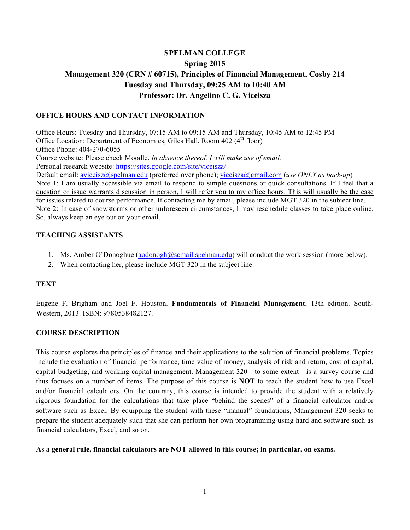# **SPELMAN COLLEGE Spring 2015 Management 320 (CRN # 60715), Principles of Financial Management, Cosby 214 Tuesday and Thursday, 09:25 AM to 10:40 AM Professor: Dr. Angelino C. G. Viceisza**

### **OFFICE HOURS AND CONTACT INFORMATION**

Office Hours: Tuesday and Thursday, 07:15 AM to 09:15 AM and Thursday, 10:45 AM to 12:45 PM Office Location: Department of Economics, Giles Hall, Room 402 (4<sup>th</sup> floor) Office Phone: 404-270-6055 Course website: Please check Moodle. *In absence thereof, I will make use of email.*  Personal research website: https://sites.google.com/site/viceisza/ Default email: aviceisz@spelman.edu (preferred over phone); viceisza@gmail.com (*use ONLY as back-up*) Note 1: I am usually accessible via email to respond to simple questions or quick consultations. If I feel that a question or issue warrants discussion in person, I will refer you to my office hours. This will usually be the case for issues related to course performance. If contacting me by email, please include MGT 320 in the subject line. Note 2: In case of snowstorms or other unforeseen circumstances, I may reschedule classes to take place online. So, always keep an eye out on your email.

### **TEACHING ASSISTANTS**

- 1. Ms. Amber O'Donoghue (aodonogh@scmail.spelman.edu) will conduct the work session (more below).
- 2. When contacting her, please include MGT 320 in the subject line.

### **TEXT**

Eugene F. Brigham and Joel F. Houston. **Fundamentals of Financial Management.** 13th edition. South-Western, 2013. ISBN: 9780538482127.

### **COURSE DESCRIPTION**

This course explores the principles of finance and their applications to the solution of financial problems. Topics include the evaluation of financial performance, time value of money, analysis of risk and return, cost of capital, capital budgeting, and working capital management. Management 320—to some extent—is a survey course and thus focuses on a number of items. The purpose of this course is **NOT** to teach the student how to use Excel and/or financial calculators. On the contrary, this course is intended to provide the student with a relatively rigorous foundation for the calculations that take place "behind the scenes" of a financial calculator and/or software such as Excel. By equipping the student with these "manual" foundations, Management 320 seeks to prepare the student adequately such that she can perform her own programming using hard and software such as financial calculators, Excel, and so on.

#### **As a general rule, financial calculators are NOT allowed in this course; in particular, on exams.**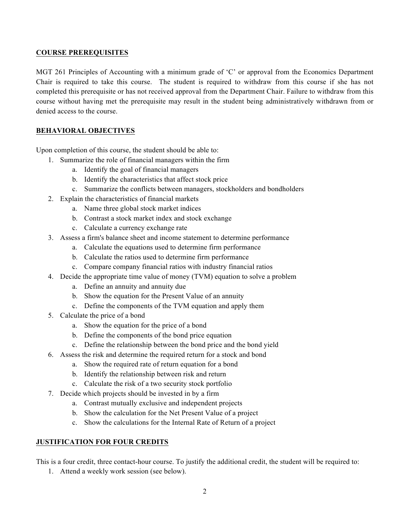#### **COURSE PREREQUISITES**

MGT 261 Principles of Accounting with a minimum grade of 'C' or approval from the Economics Department Chair is required to take this course. The student is required to withdraw from this course if she has not completed this prerequisite or has not received approval from the Department Chair. Failure to withdraw from this course without having met the prerequisite may result in the student being administratively withdrawn from or denied access to the course.

### **BEHAVIORAL OBJECTIVES**

Upon completion of this course, the student should be able to:

- 1. Summarize the role of financial managers within the firm
	- a. Identify the goal of financial managers
	- b. Identify the characteristics that affect stock price
	- c. Summarize the conflicts between managers, stockholders and bondholders
- 2. Explain the characteristics of financial markets
	- a. Name three global stock market indices
	- b. Contrast a stock market index and stock exchange
	- c. Calculate a currency exchange rate
- 3. Assess a firm's balance sheet and income statement to determine performance
	- a. Calculate the equations used to determine firm performance
	- b. Calculate the ratios used to determine firm performance
	- c. Compare company financial ratios with industry financial ratios
- 4. Decide the appropriate time value of money (TVM) equation to solve a problem
	- a. Define an annuity and annuity due
	- b. Show the equation for the Present Value of an annuity
	- c. Define the components of the TVM equation and apply them
- 5. Calculate the price of a bond
	- a. Show the equation for the price of a bond
	- b. Define the components of the bond price equation
	- c. Define the relationship between the bond price and the bond yield
- 6. Assess the risk and determine the required return for a stock and bond
	- a. Show the required rate of return equation for a bond
	- b. Identify the relationship between risk and return
	- c. Calculate the risk of a two security stock portfolio
- 7. Decide which projects should be invested in by a firm
	- a. Contrast mutually exclusive and independent projects
	- b. Show the calculation for the Net Present Value of a project
	- c. Show the calculations for the Internal Rate of Return of a project

### **JUSTIFICATION FOR FOUR CREDITS**

This is a four credit, three contact-hour course. To justify the additional credit, the student will be required to:

1. Attend a weekly work session (see below).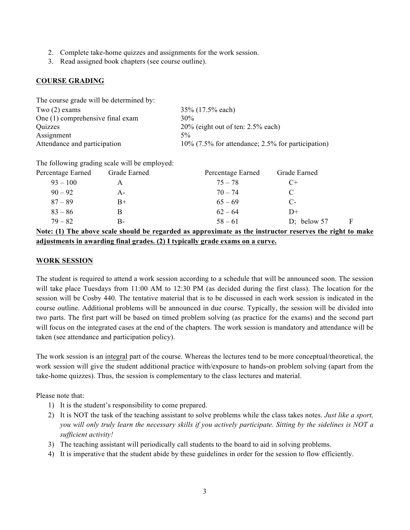- 2. Complete take-home quizzes and assignments for the work session.
- 3. Read assigned book chapters (see course outline).

#### **COURSE GRADING**

| The course grade will be determined by: |                                                      |
|-----------------------------------------|------------------------------------------------------|
| Two $(2)$ exams                         | 35% (17.5% each)                                     |
| One (1) comprehensive final exam        | 30%                                                  |
| Quizzes                                 | $20\%$ (eight out of ten: 2.5% each)                 |
| Assignment                              | $5\%$                                                |
| Attendance and participation            | $10\%$ (7.5% for attendance; 2.5% for participation) |

The following grading scale will be employed:

| Percentage Earned | Grade Earned | Percentage Earned                                                                                        | Grade Earned  |  |
|-------------------|--------------|----------------------------------------------------------------------------------------------------------|---------------|--|
| $93 - 100$        |              | $75 - 78$                                                                                                | $C+$          |  |
| $90 - 92$         | $A -$        | $70 - 74$                                                                                                |               |  |
| $87 - 89$         | $B+$         | $65 - 69$                                                                                                | С-            |  |
| $83 - 86$         | В            | $62 - 64$                                                                                                | D+            |  |
| $79 - 82$         | В-           | $58 - 61$                                                                                                | D; below $57$ |  |
|                   |              | Matar (1) The choice and choich he incomind as annonlinete as the instinction incoming the sight to make |               |  |

**Note: (1) The above scale should be regarded as approximate as the instructor reserves the right to make adjustments in awarding final grades. (2) I typically grade exams on a curve.** 

#### **WORK SESSION**

The student is required to attend a work session according to a schedule that will be announced soon. The session will take place Tuesdays from 11:00 AM to 12:30 PM (as decided during the first class). The location for the session will be Cosby 440. The tentative material that is to be discussed in each work session is indicated in the course outline. Additional problems will be announced in due course. Typically, the session will be divided into two parts. The first part will be based on timed problem solving (as practice for the exams) and the second part will focus on the integrated cases at the end of the chapters. The work session is mandatory and attendance will be taken (see attendance and participation policy).

The work session is an integral part of the course. Whereas the lectures tend to be more conceptual/theoretical, the work session will give the student additional practice with/exposure to hands-on problem solving (apart from the take-home quizzes). Thus, the session is complementary to the class lectures and material.

Please note that:

- 1) It is the student's responsibility to come prepared.
- 2) It is NOT the task of the teaching assistant to solve problems while the class takes notes. *Just like a sport, you will only truly learn the necessary skills if you actively participate. Sitting by the sidelines is NOT a sufficient activity!*
- 3) The teaching assistant will periodically call students to the board to aid in solving problems.
- 4) It is imperative that the student abide by these guidelines in order for the session to flow efficiently.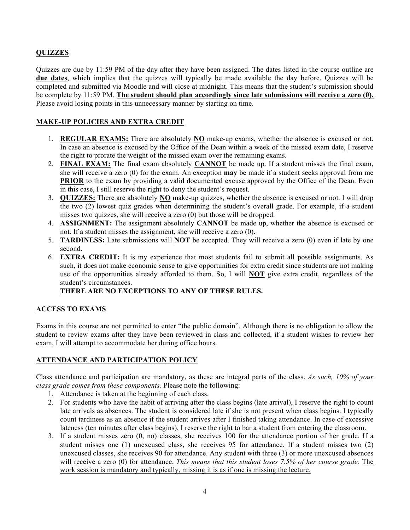### **QUIZZES**

Quizzes are due by 11:59 PM of the day after they have been assigned. The dates listed in the course outline are **due dates**, which implies that the quizzes will typically be made available the day before. Quizzes will be completed and submitted via Moodle and will close at midnight. This means that the student's submission should be complete by 11:59 PM. **The student should plan accordingly since late submissions will receive a zero (0).** Please avoid losing points in this unnecessary manner by starting on time.

### **MAKE-UP POLICIES AND EXTRA CREDIT**

- 1. **REGULAR EXAMS:** There are absolutely **NO** make-up exams, whether the absence is excused or not. In case an absence is excused by the Office of the Dean within a week of the missed exam date, I reserve the right to prorate the weight of the missed exam over the remaining exams.
- 2. **FINAL EXAM:** The final exam absolutely **CANNOT** be made up. If a student misses the final exam, she will receive a zero (0) for the exam. An exception **may** be made if a student seeks approval from me **PRIOR** to the exam by providing a valid documented excuse approved by the Office of the Dean. Even in this case, I still reserve the right to deny the student's request.
- 3. **QUIZZES:** There are absolutely **NO** make-up quizzes, whether the absence is excused or not. I will drop the two (2) lowest quiz grades when determining the student's overall grade. For example, if a student misses two quizzes, she will receive a zero (0) but those will be dropped.
- 4. **ASSIGNMENT:** The assignment absolutely **CANNOT** be made up, whether the absence is excused or not. If a student misses the assignment, she will receive a zero (0).
- 5. **TARDINESS:** Late submissions will **NOT** be accepted. They will receive a zero (0) even if late by one second.
- 6. **EXTRA CREDIT:** It is my experience that most students fail to submit all possible assignments. As such, it does not make economic sense to give opportunities for extra credit since students are not making use of the opportunities already afforded to them. So, I will **NOT** give extra credit, regardless of the student's circumstances.

### **THERE ARE NO EXCEPTIONS TO ANY OF THESE RULES.**

### **ACCESS TO EXAMS**

Exams in this course are not permitted to enter "the public domain". Although there is no obligation to allow the student to review exams after they have been reviewed in class and collected, if a student wishes to review her exam, I will attempt to accommodate her during office hours.

#### **ATTENDANCE AND PARTICIPATION POLICY**

Class attendance and participation are mandatory, as these are integral parts of the class. *As such, 10% of your class grade comes from these components.* Please note the following:

- 1. Attendance is taken at the beginning of each class.
- 2. For students who have the habit of arriving after the class begins (late arrival), I reserve the right to count late arrivals as absences. The student is considered late if she is not present when class begins. I typically count tardiness as an absence if the student arrives after I finished taking attendance. In case of excessive lateness (ten minutes after class begins), I reserve the right to bar a student from entering the classroom.
- 3. If a student misses zero (0, no) classes, she receives 100 for the attendance portion of her grade. If a student misses one (1) unexcused class, she receives 95 for attendance. If a student misses two (2) unexcused classes, she receives 90 for attendance. Any student with three (3) or more unexcused absences will receive a zero (0) for attendance. *This means that this student loses 7.5% of her course grade.* The work session is mandatory and typically, missing it is as if one is missing the lecture.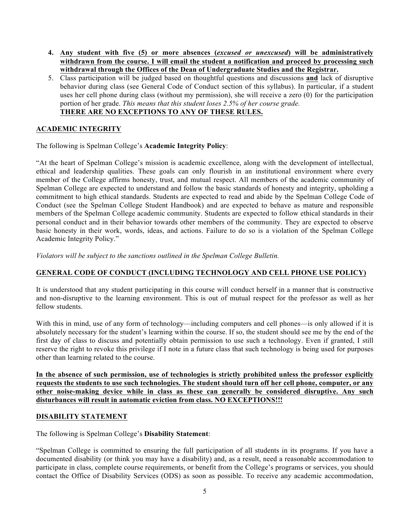- **4. Any student with five (5) or more absences (***excused or unexcused***) will be administratively withdrawn from the course. I will email the student a notification and proceed by processing such withdrawal through the Offices of the Dean of Undergraduate Studies and the Registrar.**
- 5. Class participation will be judged based on thoughtful questions and discussions **and** lack of disruptive behavior during class (see General Code of Conduct section of this syllabus). In particular, if a student uses her cell phone during class (without my permission), she will receive a zero (0) for the participation portion of her grade. *This means that this student loses 2.5% of her course grade.* **THERE ARE NO EXCEPTIONS TO ANY OF THESE RULES.**

#### **ACADEMIC INTEGRITY**

The following is Spelman College's **Academic Integrity Policy**:

"At the heart of Spelman College's mission is academic excellence, along with the development of intellectual, ethical and leadership qualities. These goals can only flourish in an institutional environment where every member of the College affirms honesty, trust, and mutual respect. All members of the academic community of Spelman College are expected to understand and follow the basic standards of honesty and integrity, upholding a commitment to high ethical standards. Students are expected to read and abide by the Spelman College Code of Conduct (see the Spelman College Student Handbook) and are expected to behave as mature and responsible members of the Spelman College academic community. Students are expected to follow ethical standards in their personal conduct and in their behavior towards other members of the community. They are expected to observe basic honesty in their work, words, ideas, and actions. Failure to do so is a violation of the Spelman College Academic Integrity Policy."

*Violators will be subject to the sanctions outlined in the Spelman College Bulletin.*

#### **GENERAL CODE OF CONDUCT (INCLUDING TECHNOLOGY AND CELL PHONE USE POLICY)**

It is understood that any student participating in this course will conduct herself in a manner that is constructive and non-disruptive to the learning environment. This is out of mutual respect for the professor as well as her fellow students.

With this in mind, use of any form of technology—including computers and cell phones—is only allowed if it is absolutely necessary for the student's learning within the course. If so, the student should see me by the end of the first day of class to discuss and potentially obtain permission to use such a technology. Even if granted, I still reserve the right to revoke this privilege if I note in a future class that such technology is being used for purposes other than learning related to the course.

**In the absence of such permission, use of technologies is strictly prohibited unless the professor explicitly requests the students to use such technologies. The student should turn off her cell phone, computer, or any other noise-making device while in class as these can generally be considered disruptive. Any such disturbances will result in automatic eviction from class. NO EXCEPTIONS!!!**

#### **DISABILITY STATEMENT**

The following is Spelman College's **Disability Statement**:

"Spelman College is committed to ensuring the full participation of all students in its programs. If you have a documented disability (or think you may have a disability) and, as a result, need a reasonable accommodation to participate in class, complete course requirements, or benefit from the College's programs or services, you should contact the Office of Disability Services (ODS) as soon as possible. To receive any academic accommodation,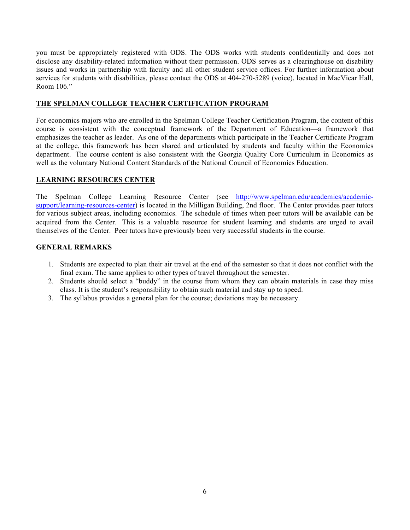you must be appropriately registered with ODS. The ODS works with students confidentially and does not disclose any disability-related information without their permission. ODS serves as a clearinghouse on disability issues and works in partnership with faculty and all other student service offices. For further information about services for students with disabilities, please contact the ODS at 404-270-5289 (voice), located in MacVicar Hall, Room 106<sup>"</sup>

#### **THE SPELMAN COLLEGE TEACHER CERTIFICATION PROGRAM**

For economics majors who are enrolled in the Spelman College Teacher Certification Program, the content of this course is consistent with the conceptual framework of the Department of Education—a framework that emphasizes the teacher as leader. As one of the departments which participate in the Teacher Certificate Program at the college, this framework has been shared and articulated by students and faculty within the Economics department. The course content is also consistent with the Georgia Quality Core Curriculum in Economics as well as the voluntary National Content Standards of the National Council of Economics Education.

#### **LEARNING RESOURCES CENTER**

The Spelman College Learning Resource Center (see http://www.spelman.edu/academics/academicsupport/learning-resources-center) is located in the Milligan Building, 2nd floor. The Center provides peer tutors for various subject areas, including economics. The schedule of times when peer tutors will be available can be acquired from the Center. This is a valuable resource for student learning and students are urged to avail themselves of the Center. Peer tutors have previously been very successful students in the course.

#### **GENERAL REMARKS**

- 1. Students are expected to plan their air travel at the end of the semester so that it does not conflict with the final exam. The same applies to other types of travel throughout the semester.
- 2. Students should select a "buddy" in the course from whom they can obtain materials in case they miss class. It is the student's responsibility to obtain such material and stay up to speed.
- 3. The syllabus provides a general plan for the course; deviations may be necessary.